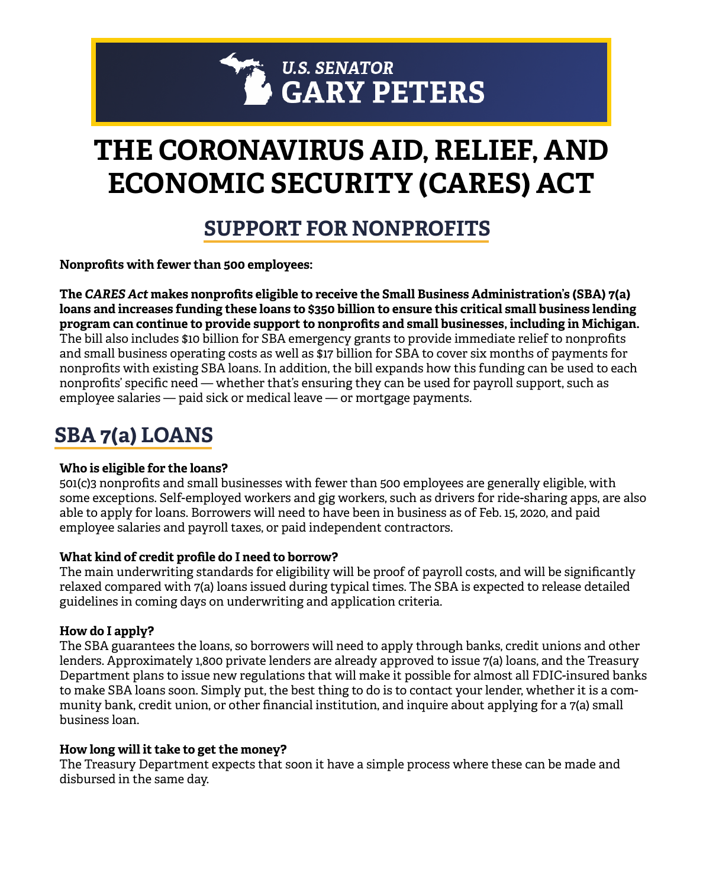# **THE CORONAVIRUS AID, RELIEF, AND ECONOMIC SECURITY (CARES) ACT**

## **SUPPORT FOR NONPROFITS**

**Nonprofits with fewer than 500 employees:**

**The** *CARES Act* **makes nonprofits eligible to receive the Small Business Administration's (SBA) 7(a) loans and increases funding these loans to \$350 billion to ensure this critical small business lending program can continue to provide support to nonprofits and small businesses, including in Michigan.**  The bill also includes \$10 billion for SBA emergency grants to provide immediate relief to nonprofits and small business operating costs as well as \$17 billion for SBA to cover six months of payments for nonprofits with existing SBA loans. In addition, the bill expands how this funding can be used to each nonprofits' specific need — whether that's ensuring they can be used for payroll support, such as employee salaries — paid sick or medical leave — or mortgage payments.

# **SBA 7(a) LOANS**

#### **Who is eligible for the loans?**

501(c)3 nonprofits and small businesses with fewer than 500 employees are generally eligible, with some exceptions. Self-employed workers and gig workers, such as drivers for ride-sharing apps, are also able to apply for loans. Borrowers will need to have been in business as of Feb. 15, 2020, and paid employee salaries and payroll taxes, or paid independent contractors.

#### **What kind of credit profile do I need to borrow?**

The main underwriting standards for eligibility will be proof of payroll costs, and will be significantly relaxed compared with 7(a) loans issued during typical times. The SBA is expected to release detailed guidelines in coming days on underwriting and application criteria.

#### **How do I apply?**

The SBA guarantees the loans, so borrowers will need to apply through banks, credit unions and other lenders. Approximately 1,800 private lenders are already approved to issue 7(a) loans, and the Treasury Department plans to issue new regulations that will make it possible for almost all FDIC-insured banks to make SBA loans soon. Simply put, the best thing to do is to contact your lender, whether it is a community bank, credit union, or other financial institution, and inquire about applying for a 7(a) small business loan.

#### **How long will it take to get the money?**

The Treasury Department expects that soon it have a simple process where these can be made and disbursed in the same day.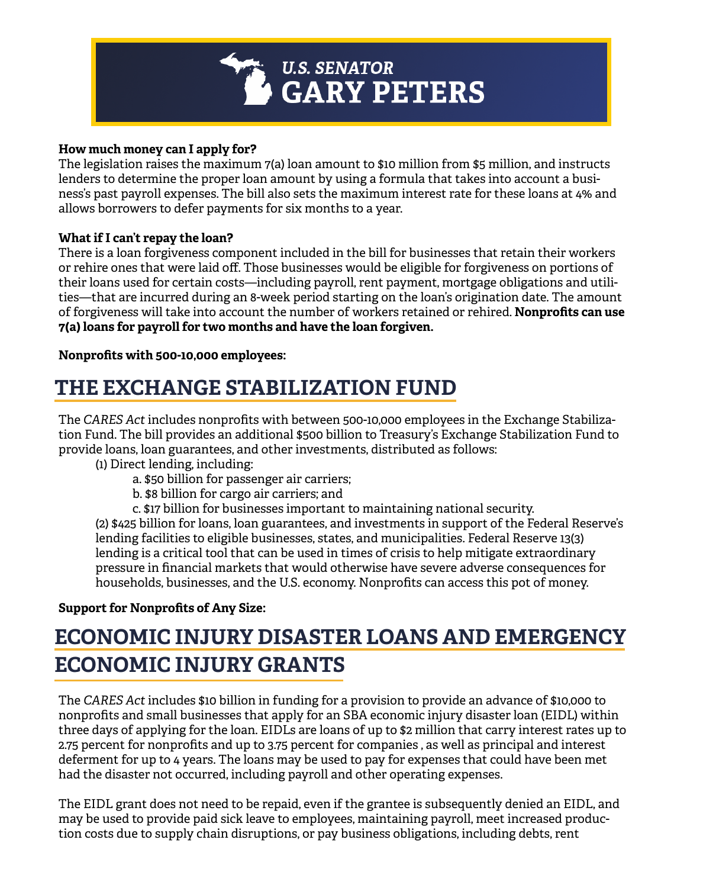

#### **How much money can I apply for?**

The legislation raises the maximum 7(a) loan amount to \$10 million from \$5 million, and instructs lenders to determine the proper loan amount by using a formula that takes into account a business's past payroll expenses. The bill also sets the maximum interest rate for these loans at 4% and allows borrowers to defer payments for six months to a year.

#### **What if I can't repay the loan?**

There is a loan forgiveness component included in the bill for businesses that retain their workers or rehire ones that were laid off. Those businesses would be eligible for forgiveness on portions of their loans used for certain costs—including payroll, rent payment, mortgage obligations and utilities—that are incurred during an 8-week period starting on the loan's origination date. The amount of forgiveness will take into account the number of workers retained or rehired. **Nonprofits can use 7(a) loans for payroll for two months and have the loan forgiven.**

**Nonprofits with 500-10,000 employees:**

# **THE EXCHANGE STABILIZATION FUND**

The *CARES Act* includes nonprofits with between 500-10,000 employees in the Exchange Stabilization Fund. The bill provides an additional \$500 billion to Treasury's Exchange Stabilization Fund to provide loans, loan guarantees, and other investments, distributed as follows:

(1) Direct lending, including:

a. \$50 billion for passenger air carriers;

b. \$8 billion for cargo air carriers; and

c. \$17 billion for businesses important to maintaining national security.

 (2) \$425 billion for loans, loan guarantees, and investments in support of the Federal Reserve's lending facilities to eligible businesses, states, and municipalities. Federal Reserve 13(3) lending is a critical tool that can be used in times of crisis to help mitigate extraordinary pressure in financial markets that would otherwise have severe adverse consequences for households, businesses, and the U.S. economy. Nonprofits can access this pot of money.

#### **Support for Nonprofits of Any Size:**

# **ECONOMIC INJURY DISASTER LOANS AND EMERGENCY ECONOMIC INJURY GRANTS**

The *CARES Act* includes \$10 billion in funding for a provision to provide an advance of \$10,000 to nonprofits and small businesses that apply for an SBA economic injury disaster loan (EIDL) within three days of applying for the loan. EIDLs are loans of up to \$2 million that carry interest rates up to 2.75 percent for nonprofits and up to 3.75 percent for companies , as well as principal and interest deferment for up to 4 years. The loans may be used to pay for expenses that could have been met had the disaster not occurred, including payroll and other operating expenses.

The EIDL grant does not need to be repaid, even if the grantee is subsequently denied an EIDL, and may be used to provide paid sick leave to employees, maintaining payroll, meet increased production costs due to supply chain disruptions, or pay business obligations, including debts, rent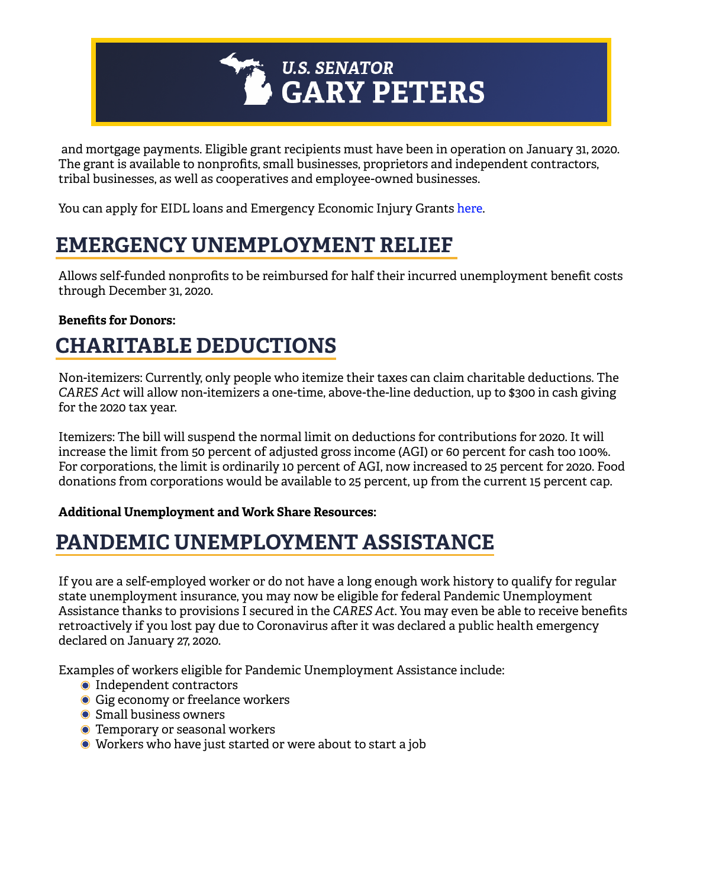

 and mortgage payments. Eligible grant recipients must have been in operation on January 31, 2020. The grant is available to nonprofits, small businesses, proprietors and independent contractors, tribal businesses, as well as cooperatives and employee-owned businesses.

You can apply for EIDL loans and Emergency Economic Injury Gran[ts here.](https://www.sba.gov/funding-programs/disaster-assistance)

### **EMERGENCY UNEMPLOYMENT RELIEF**

Allows self-funded nonprofits to be reimbursed for half their incurred unemployment benefit costs through December 31, 2020.

#### **Benefits for Donors:**

### **CHARITABLE DEDUCTIONS**

Non-itemizers: Currently, only people who itemize their taxes can claim charitable deductions. The *CARES Act* will allow non-itemizers a one-time, above-the-line deduction, up to \$300 in cash giving for the 2020 tax year.

Itemizers: The bill will suspend the normal limit on deductions for contributions for 2020. It will increase the limit from 50 percent of adjusted gross income (AGI) or 60 percent for cash too 100%. For corporations, the limit is ordinarily 10 percent of AGI, now increased to 25 percent for 2020. Food donations from corporations would be available to 25 percent, up from the current 15 percent cap.

#### **Additional Unemployment and Work Share Resources:**

### **PANDEMIC UNEMPLOYMENT ASSISTANCE**

If you are a self-employed worker or do not have a long enough work history to qualify for regular state unemployment insurance, you may now be eligible for federal Pandemic Unemployment Assistance thanks to provisions I secured in the *CARES Act*. You may even be able to receive benefits retroactively if you lost pay due to Coronavirus after it was declared a public health emergency declared on January 27, 2020.

Examples of workers eligible for Pandemic Unemployment Assistance include:

- **O** Independent contractors
- Gig economy or freelance workers
- Small business owners
- **O** Temporary or seasonal workers
- Workers who have just started or were about to start a job